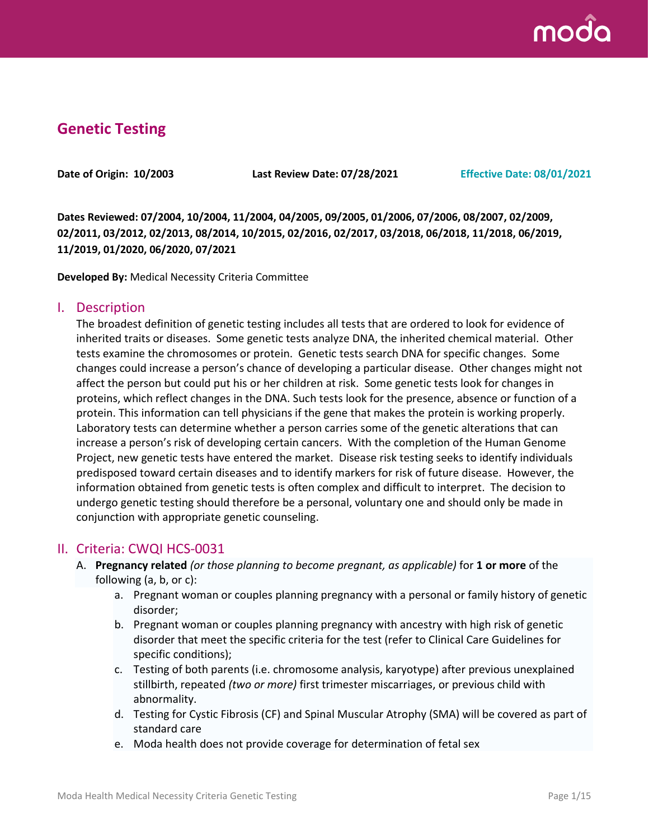

# **Genetic Testing**

**Date of Origin: 10/2003 Last Review Date: 07/28/2021 Effective Date: 08/01/2021**

**Dates Reviewed: 07/2004, 10/2004, 11/2004, 04/2005, 09/2005, 01/2006, 07/2006, 08/2007, 02/2009, 02/2011, 03/2012, 02/2013, 08/2014, 10/2015, 02/2016, 02/2017, 03/2018, 06/2018, 11/2018, 06/2019, 11/2019, 01/2020, 06/2020, 07/2021**

**Developed By:** Medical Necessity Criteria Committee

#### I. Description

The broadest definition of genetic testing includes all tests that are ordered to look for evidence of inherited traits or diseases. Some genetic tests analyze DNA, the inherited chemical material. Other tests examine the chromosomes or protein. Genetic tests search DNA for specific changes. Some changes could increase a person's chance of developing a particular disease. Other changes might not affect the person but could put his or her children at risk. Some genetic tests look for changes in proteins, which reflect changes in the DNA. Such tests look for the presence, absence or function of a protein. This information can tell physicians if the gene that makes the protein is working properly. Laboratory tests can determine whether a person carries some of the genetic alterations that can increase a person's risk of developing certain cancers. With the completion of the Human Genome Project, new genetic tests have entered the market. Disease risk testing seeks to identify individuals predisposed toward certain diseases and to identify markers for risk of future disease. However, the information obtained from genetic tests is often complex and difficult to interpret. The decision to undergo genetic testing should therefore be a personal, voluntary one and should only be made in conjunction with appropriate genetic counseling.

#### II. Criteria: CWQI HCS-0031

- A. **Pregnancy related** *(or those planning to become pregnant, as applicable)* for **1 or more** of the following (a, b, or c):
	- a. Pregnant woman or couples planning pregnancy with a personal or family history of genetic disorder;
	- b. Pregnant woman or couples planning pregnancy with ancestry with high risk of genetic disorder that meet the specific criteria for the test (refer to Clinical Care Guidelines for specific conditions);
	- c. Testing of both parents (i.e. chromosome analysis, karyotype) after previous unexplained stillbirth, repeated *(two or more)* first trimester miscarriages, or previous child with abnormality.
	- d. Testing for Cystic Fibrosis (CF) and Spinal Muscular Atrophy (SMA) will be covered as part of standard care
	- e. Moda health does not provide coverage for determination of fetal sex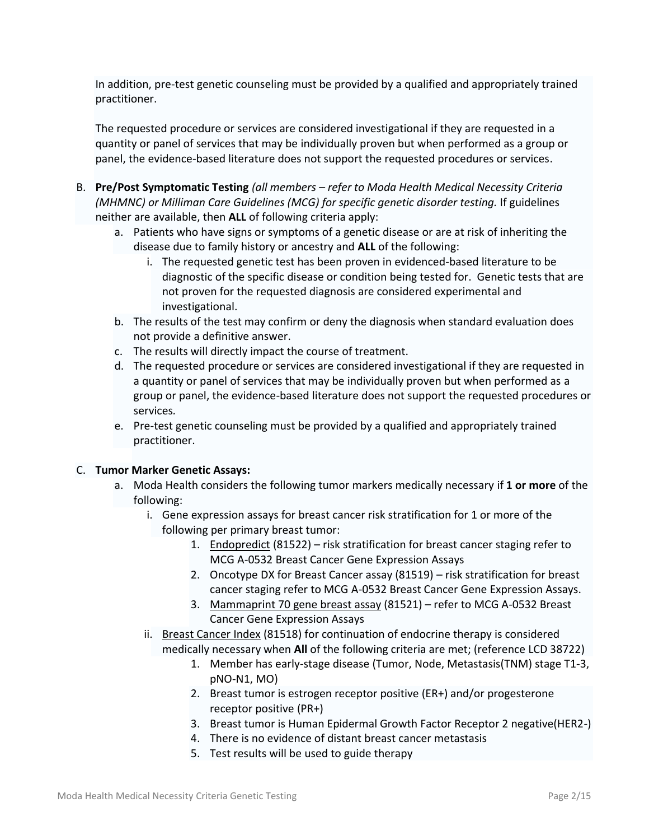In addition, pre-test genetic counseling must be provided by a qualified and appropriately trained practitioner.

The requested procedure or services are considered investigational if they are requested in a quantity or panel of services that may be individually proven but when performed as a group or panel, the evidence-based literature does not support the requested procedures or services.

- B. **Pre/Post Symptomatic Testing** *(all members – refer to Moda Health Medical Necessity Criteria (MHMNC) or Milliman Care Guidelines (MCG) for specific genetic disorder testing.* If guidelines neither are available, then **ALL** of following criteria apply:
	- a. Patients who have signs or symptoms of a genetic disease or are at risk of inheriting the disease due to family history or ancestry and **ALL** of the following:
		- i. The requested genetic test has been proven in evidenced-based literature to be diagnostic of the specific disease or condition being tested for. Genetic tests that are not proven for the requested diagnosis are considered experimental and investigational.
	- b. The results of the test may confirm or deny the diagnosis when standard evaluation does not provide a definitive answer.
	- c. The results will directly impact the course of treatment.
	- d. The requested procedure or services are considered investigational if they are requested in a quantity or panel of services that may be individually proven but when performed as a group or panel, the evidence-based literature does not support the requested procedures or services*.*
	- e. Pre-test genetic counseling must be provided by a qualified and appropriately trained practitioner.

#### C. **Tumor Marker Genetic Assays:**

- a. Moda Health considers the following tumor markers medically necessary if **1 or more** of the following:
	- i. Gene expression assays for breast cancer risk stratification for 1 or more of the following per primary breast tumor:
		- 1. Endopredict (81522) risk stratification for breast cancer staging refer to MCG A-0532 Breast Cancer Gene Expression Assays
		- 2. Oncotype DX for Breast Cancer assay (81519) risk stratification for breast cancer staging refer to MCG A-0532 Breast Cancer Gene Expression Assays.
		- 3. Mammaprint 70 gene breast assay (81521) refer to MCG A-0532 Breast Cancer Gene Expression Assays
	- ii. Breast Cancer Index (81518) for continuation of endocrine therapy is considered medically necessary when **All** of the following criteria are met; (reference LCD 38722)
		- 1. Member has early-stage disease (Tumor, Node, Metastasis(TNM) stage T1-3, pNO-N1, MO)
		- 2. Breast tumor is estrogen receptor positive (ER+) and/or progesterone receptor positive (PR+)
		- 3. Breast tumor is Human Epidermal Growth Factor Receptor 2 negative(HER2-)
		- 4. There is no evidence of distant breast cancer metastasis
		- 5. Test results will be used to guide therapy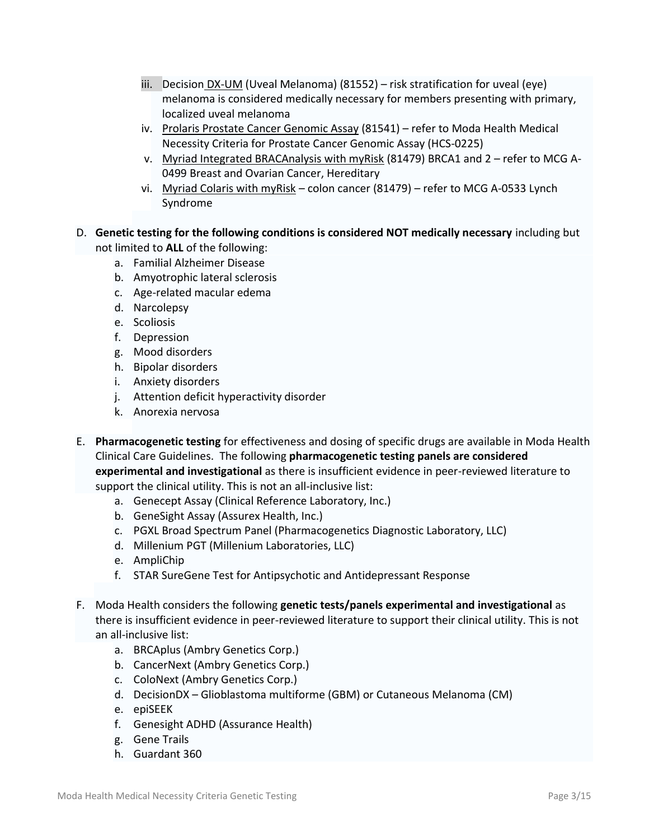- iii. Decision DX-UM (Uveal Melanoma) (81552) risk stratification for uveal (eye) melanoma is considered medically necessary for members presenting with primary, localized uveal melanoma
- iv. Prolaris Prostate Cancer Genomic Assay (81541) refer to Moda Health Medical Necessity Criteria for Prostate Cancer Genomic Assay (HCS-0225)
- v. Myriad Integrated BRACAnalysis with myRisk (81479) BRCA1 and 2 refer to MCG A-0499 Breast and Ovarian Cancer, Hereditary
- vi. Myriad Colaris with myRisk colon cancer (81479) refer to MCG A-0533 Lynch Syndrome
- D. **Genetic testing for the following conditions is considered NOT medically necessary** including but not limited to **ALL** of the following:
	- a. Familial Alzheimer Disease
	- b. Amyotrophic lateral sclerosis
	- c. Age-related macular edema
	- d. Narcolepsy
	- e. Scoliosis
	- f. Depression
	- g. Mood disorders
	- h. Bipolar disorders
	- i. Anxiety disorders
	- j. Attention deficit hyperactivity disorder
	- k. Anorexia nervosa
- E. **Pharmacogenetic testing** for effectiveness and dosing of specific drugs are available in Moda Health Clinical Care Guidelines. The following **pharmacogenetic testing panels are considered experimental and investigational** as there is insufficient evidence in peer-reviewed literature to support the clinical utility. This is not an all-inclusive list:
	- a. Genecept Assay (Clinical Reference Laboratory, Inc.)
	- b. GeneSight Assay (Assurex Health, Inc.)
	- c. PGXL Broad Spectrum Panel (Pharmacogenetics Diagnostic Laboratory, LLC)
	- d. Millenium PGT (Millenium Laboratories, LLC)
	- e. AmpliChip
	- f. STAR SureGene Test for Antipsychotic and Antidepressant Response
- F. Moda Health considers the following **genetic tests/panels experimental and investigational** as there is insufficient evidence in peer-reviewed literature to support their clinical utility. This is not an all-inclusive list:
	- a. BRCAplus (Ambry Genetics Corp.)
	- b. CancerNext (Ambry Genetics Corp.)
	- c. ColoNext (Ambry Genetics Corp.)
	- d. DecisionDX Glioblastoma multiforme (GBM) or Cutaneous Melanoma (CM)
	- e. epiSEEK
	- f. Genesight ADHD (Assurance Health)
	- g. Gene Trails
	- h. Guardant 360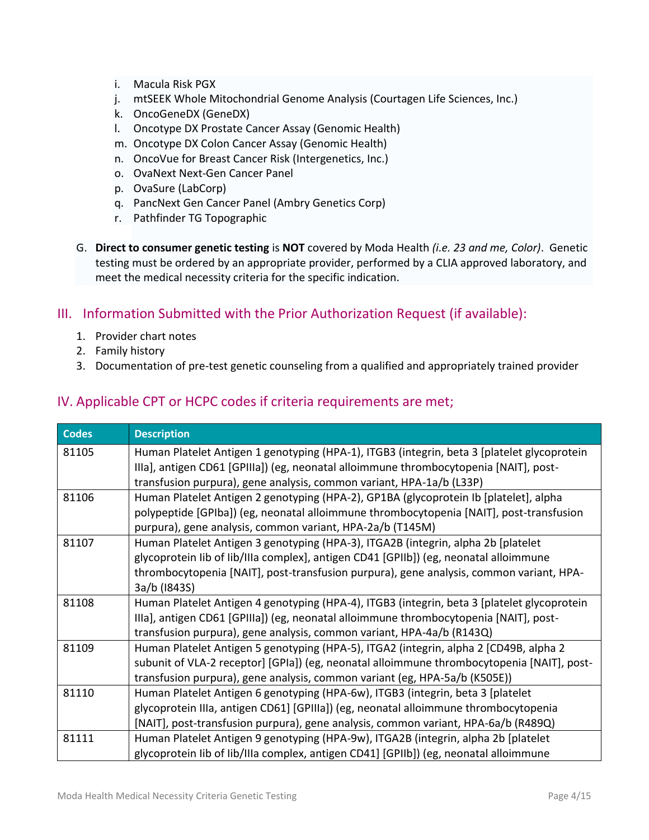- i. Macula Risk PGX
- j. mtSEEK Whole Mitochondrial Genome Analysis (Courtagen Life Sciences, Inc.)
- k. OncoGeneDX (GeneDX)
- l. Oncotype DX Prostate Cancer Assay (Genomic Health)
- m. Oncotype DX Colon Cancer Assay (Genomic Health)
- n. OncoVue for Breast Cancer Risk (Intergenetics, Inc.)
- o. OvaNext Next-Gen Cancer Panel
- p. OvaSure (LabCorp)
- q. PancNext Gen Cancer Panel (Ambry Genetics Corp)
- r. Pathfinder TG Topographic
- G. **Direct to consumer genetic testing** is **NOT** covered by Moda Health *(i.e. 23 and me, Color)*. Genetic testing must be ordered by an appropriate provider, performed by a CLIA approved laboratory, and meet the medical necessity criteria for the specific indication.

## III. Information Submitted with the Prior Authorization Request (if available):

- 1. Provider chart notes
- 2. Family history
- 3. Documentation of pre-test genetic counseling from a qualified and appropriately trained provider

### IV. Applicable CPT or HCPC codes if criteria requirements are met;

| <b>Codes</b> | <b>Description</b>                                                                          |
|--------------|---------------------------------------------------------------------------------------------|
| 81105        | Human Platelet Antigen 1 genotyping (HPA-1), ITGB3 (integrin, beta 3 [platelet glycoprotein |
|              | Illa], antigen CD61 [GPIIIa]) (eg, neonatal alloimmune thrombocytopenia [NAIT], post-       |
|              | transfusion purpura), gene analysis, common variant, HPA-1a/b (L33P)                        |
| 81106        | Human Platelet Antigen 2 genotyping (HPA-2), GP1BA (glycoprotein Ib [platelet], alpha       |
|              | polypeptide [GPIba]) (eg, neonatal alloimmune thrombocytopenia [NAIT], post-transfusion     |
|              | purpura), gene analysis, common variant, HPA-2a/b (T145M)                                   |
| 81107        | Human Platelet Antigen 3 genotyping (HPA-3), ITGA2B (integrin, alpha 2b [platelet           |
|              | glycoprotein lib of lib/Illa complex], antigen CD41 [GPIIb]) (eg, neonatal alloimmune       |
|              | thrombocytopenia [NAIT], post-transfusion purpura), gene analysis, common variant, HPA-     |
|              | 3a/b (1843S)                                                                                |
| 81108        | Human Platelet Antigen 4 genotyping (HPA-4), ITGB3 (integrin, beta 3 [platelet glycoprotein |
|              | Illa], antigen CD61 [GPIIIa]) (eg, neonatal alloimmune thrombocytopenia [NAIT], post-       |
|              | transfusion purpura), gene analysis, common variant, HPA-4a/b (R143Q)                       |
| 81109        | Human Platelet Antigen 5 genotyping (HPA-5), ITGA2 (integrin, alpha 2 [CD49B, alpha 2       |
|              | subunit of VLA-2 receptor] [GPIa]) (eg, neonatal alloimmune thrombocytopenia [NAIT], post-  |
|              | transfusion purpura), gene analysis, common variant (eg, HPA-5a/b (K505E))                  |
| 81110        | Human Platelet Antigen 6 genotyping (HPA-6w), ITGB3 (integrin, beta 3 [platelet             |
|              | glycoprotein IIIa, antigen CD61] [GPIIIa]) (eg, neonatal alloimmune thrombocytopenia        |
|              | [NAIT], post-transfusion purpura), gene analysis, common variant, HPA-6a/b (R489Q)          |
| 81111        | Human Platelet Antigen 9 genotyping (HPA-9w), ITGA2B (integrin, alpha 2b [platelet          |
|              | glycoprotein lib of lib/Illa complex, antigen CD41] [GPIIb]) (eg, neonatal alloimmune       |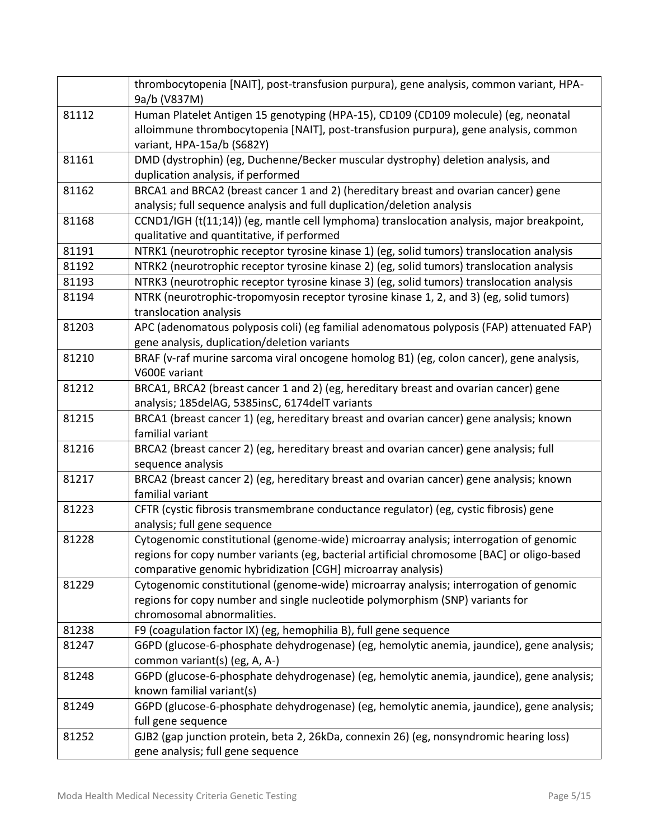|       | thrombocytopenia [NAIT], post-transfusion purpura), gene analysis, common variant, HPA-<br>9a/b (V837M)                                                        |
|-------|----------------------------------------------------------------------------------------------------------------------------------------------------------------|
| 81112 | Human Platelet Antigen 15 genotyping (HPA-15), CD109 (CD109 molecule) (eg, neonatal                                                                            |
|       | alloimmune thrombocytopenia [NAIT], post-transfusion purpura), gene analysis, common                                                                           |
|       | variant, HPA-15a/b (S682Y)                                                                                                                                     |
| 81161 | DMD (dystrophin) (eg, Duchenne/Becker muscular dystrophy) deletion analysis, and                                                                               |
|       | duplication analysis, if performed                                                                                                                             |
| 81162 | BRCA1 and BRCA2 (breast cancer 1 and 2) (hereditary breast and ovarian cancer) gene                                                                            |
|       | analysis; full sequence analysis and full duplication/deletion analysis                                                                                        |
| 81168 | CCND1/IGH (t(11;14)) (eg, mantle cell lymphoma) translocation analysis, major breakpoint,                                                                      |
|       | qualitative and quantitative, if performed                                                                                                                     |
| 81191 | NTRK1 (neurotrophic receptor tyrosine kinase 1) (eg, solid tumors) translocation analysis                                                                      |
| 81192 | NTRK2 (neurotrophic receptor tyrosine kinase 2) (eg, solid tumors) translocation analysis                                                                      |
| 81193 | NTRK3 (neurotrophic receptor tyrosine kinase 3) (eg, solid tumors) translocation analysis                                                                      |
| 81194 | NTRK (neurotrophic-tropomyosin receptor tyrosine kinase 1, 2, and 3) (eg, solid tumors)                                                                        |
|       | translocation analysis                                                                                                                                         |
| 81203 | APC (adenomatous polyposis coli) (eg familial adenomatous polyposis (FAP) attenuated FAP)                                                                      |
|       | gene analysis, duplication/deletion variants                                                                                                                   |
| 81210 | BRAF (v-raf murine sarcoma viral oncogene homolog B1) (eg, colon cancer), gene analysis,                                                                       |
|       | V600E variant                                                                                                                                                  |
| 81212 | BRCA1, BRCA2 (breast cancer 1 and 2) (eg, hereditary breast and ovarian cancer) gene                                                                           |
|       | analysis; 185delAG, 5385insC, 6174delT variants                                                                                                                |
| 81215 | BRCA1 (breast cancer 1) (eg, hereditary breast and ovarian cancer) gene analysis; known                                                                        |
|       | familial variant                                                                                                                                               |
| 81216 | BRCA2 (breast cancer 2) (eg, hereditary breast and ovarian cancer) gene analysis; full                                                                         |
|       | sequence analysis                                                                                                                                              |
| 81217 | BRCA2 (breast cancer 2) (eg, hereditary breast and ovarian cancer) gene analysis; known                                                                        |
|       | familial variant                                                                                                                                               |
| 81223 | CFTR (cystic fibrosis transmembrane conductance regulator) (eg, cystic fibrosis) gene                                                                          |
|       | analysis; full gene sequence                                                                                                                                   |
| 81228 | Cytogenomic constitutional (genome-wide) microarray analysis; interrogation of genomic                                                                         |
|       | regions for copy number variants (eg, bacterial artificial chromosome [BAC] or oligo-based                                                                     |
|       | comparative genomic hybridization [CGH] microarray analysis)                                                                                                   |
| 81229 | Cytogenomic constitutional (genome-wide) microarray analysis; interrogation of genomic                                                                         |
|       | regions for copy number and single nucleotide polymorphism (SNP) variants for<br>chromosomal abnormalities.                                                    |
| 81238 |                                                                                                                                                                |
| 81247 | F9 (coagulation factor IX) (eg, hemophilia B), full gene sequence<br>G6PD (glucose-6-phosphate dehydrogenase) (eg, hemolytic anemia, jaundice), gene analysis; |
|       | common variant(s) (eg, A, A-)                                                                                                                                  |
| 81248 | G6PD (glucose-6-phosphate dehydrogenase) (eg, hemolytic anemia, jaundice), gene analysis;                                                                      |
|       | known familial variant(s)                                                                                                                                      |
| 81249 | G6PD (glucose-6-phosphate dehydrogenase) (eg, hemolytic anemia, jaundice), gene analysis;                                                                      |
|       | full gene sequence                                                                                                                                             |
| 81252 | GJB2 (gap junction protein, beta 2, 26kDa, connexin 26) (eg, nonsyndromic hearing loss)                                                                        |
|       | gene analysis; full gene sequence                                                                                                                              |
|       |                                                                                                                                                                |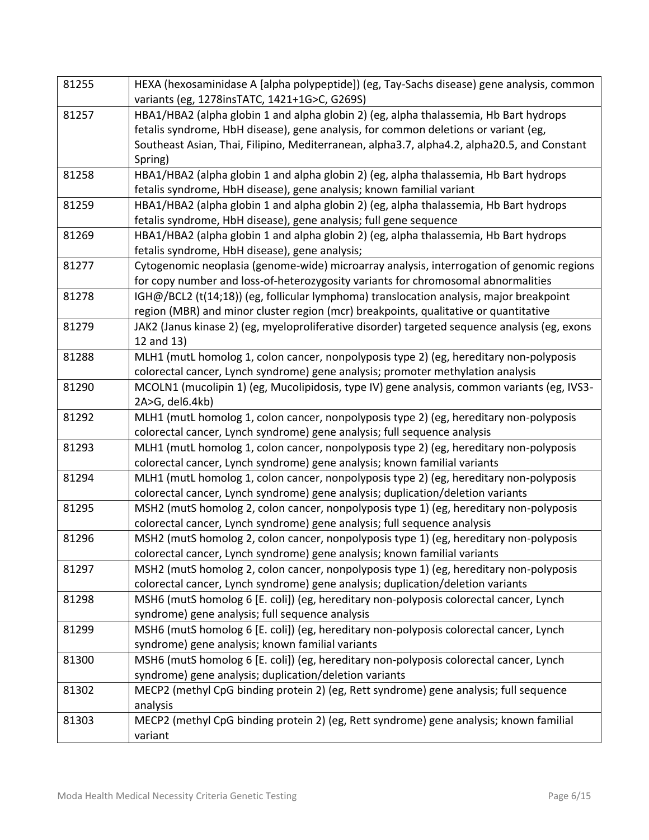| 81255 | HEXA (hexosaminidase A [alpha polypeptide]) (eg, Tay-Sachs disease) gene analysis, common     |  |  |
|-------|-----------------------------------------------------------------------------------------------|--|--|
|       | variants (eg, 1278insTATC, 1421+1G>C, G269S)                                                  |  |  |
| 81257 | HBA1/HBA2 (alpha globin 1 and alpha globin 2) (eg, alpha thalassemia, Hb Bart hydrops         |  |  |
|       | fetalis syndrome, HbH disease), gene analysis, for common deletions or variant (eg,           |  |  |
|       | Southeast Asian, Thai, Filipino, Mediterranean, alpha3.7, alpha4.2, alpha20.5, and Constant   |  |  |
|       | Spring)                                                                                       |  |  |
| 81258 | HBA1/HBA2 (alpha globin 1 and alpha globin 2) (eg, alpha thalassemia, Hb Bart hydrops         |  |  |
|       | fetalis syndrome, HbH disease), gene analysis; known familial variant                         |  |  |
| 81259 | HBA1/HBA2 (alpha globin 1 and alpha globin 2) (eg, alpha thalassemia, Hb Bart hydrops         |  |  |
|       | fetalis syndrome, HbH disease), gene analysis; full gene sequence                             |  |  |
| 81269 | HBA1/HBA2 (alpha globin 1 and alpha globin 2) (eg, alpha thalassemia, Hb Bart hydrops         |  |  |
|       | fetalis syndrome, HbH disease), gene analysis;                                                |  |  |
| 81277 | Cytogenomic neoplasia (genome-wide) microarray analysis, interrogation of genomic regions     |  |  |
|       | for copy number and loss-of-heterozygosity variants for chromosomal abnormalities             |  |  |
| 81278 | IGH@/BCL2 (t(14;18)) (eg, follicular lymphoma) translocation analysis, major breakpoint       |  |  |
|       | region (MBR) and minor cluster region (mcr) breakpoints, qualitative or quantitative          |  |  |
| 81279 | JAK2 (Janus kinase 2) (eg, myeloproliferative disorder) targeted sequence analysis (eg, exons |  |  |
|       | 12 and 13)                                                                                    |  |  |
| 81288 | MLH1 (mutL homolog 1, colon cancer, nonpolyposis type 2) (eg, hereditary non-polyposis        |  |  |
|       | colorectal cancer, Lynch syndrome) gene analysis; promoter methylation analysis               |  |  |
| 81290 | MCOLN1 (mucolipin 1) (eg, Mucolipidosis, type IV) gene analysis, common variants (eg, IVS3-   |  |  |
|       | 2A>G, del6.4kb)                                                                               |  |  |
| 81292 | MLH1 (mutL homolog 1, colon cancer, nonpolyposis type 2) (eg, hereditary non-polyposis        |  |  |
|       | colorectal cancer, Lynch syndrome) gene analysis; full sequence analysis                      |  |  |
| 81293 | MLH1 (mutL homolog 1, colon cancer, nonpolyposis type 2) (eg, hereditary non-polyposis        |  |  |
|       | colorectal cancer, Lynch syndrome) gene analysis; known familial variants                     |  |  |
| 81294 | MLH1 (mutL homolog 1, colon cancer, nonpolyposis type 2) (eg, hereditary non-polyposis        |  |  |
|       | colorectal cancer, Lynch syndrome) gene analysis; duplication/deletion variants               |  |  |
| 81295 | MSH2 (mutS homolog 2, colon cancer, nonpolyposis type 1) (eg, hereditary non-polyposis        |  |  |
|       | colorectal cancer, Lynch syndrome) gene analysis; full sequence analysis                      |  |  |
| 81296 | MSH2 (mutS homolog 2, colon cancer, nonpolyposis type 1) (eg, hereditary non-polyposis        |  |  |
|       | colorectal cancer, Lynch syndrome) gene analysis; known familial variants                     |  |  |
| 81297 | MSH2 (mutS homolog 2, colon cancer, nonpolyposis type 1) (eg, hereditary non-polyposis        |  |  |
|       | colorectal cancer, Lynch syndrome) gene analysis; duplication/deletion variants               |  |  |
| 81298 | MSH6 (mutS homolog 6 [E. coli]) (eg, hereditary non-polyposis colorectal cancer, Lynch        |  |  |
|       | syndrome) gene analysis; full sequence analysis                                               |  |  |
| 81299 | MSH6 (mutS homolog 6 [E. coli]) (eg, hereditary non-polyposis colorectal cancer, Lynch        |  |  |
|       | syndrome) gene analysis; known familial variants                                              |  |  |
| 81300 | MSH6 (mutS homolog 6 [E. coli]) (eg, hereditary non-polyposis colorectal cancer, Lynch        |  |  |
|       | syndrome) gene analysis; duplication/deletion variants                                        |  |  |
| 81302 | MECP2 (methyl CpG binding protein 2) (eg, Rett syndrome) gene analysis; full sequence         |  |  |
|       | analysis                                                                                      |  |  |
| 81303 | MECP2 (methyl CpG binding protein 2) (eg, Rett syndrome) gene analysis; known familial        |  |  |
|       | variant                                                                                       |  |  |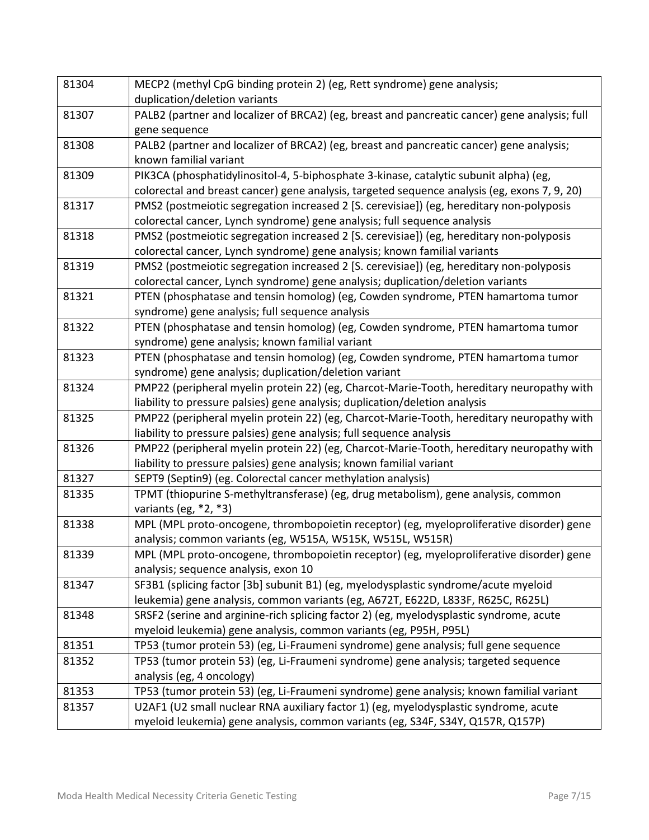| 81304 | MECP2 (methyl CpG binding protein 2) (eg, Rett syndrome) gene analysis;                       |  |  |
|-------|-----------------------------------------------------------------------------------------------|--|--|
|       | duplication/deletion variants                                                                 |  |  |
| 81307 | PALB2 (partner and localizer of BRCA2) (eg, breast and pancreatic cancer) gene analysis; full |  |  |
|       | gene sequence                                                                                 |  |  |
| 81308 | PALB2 (partner and localizer of BRCA2) (eg, breast and pancreatic cancer) gene analysis;      |  |  |
|       | known familial variant                                                                        |  |  |
| 81309 | PIK3CA (phosphatidylinositol-4, 5-biphosphate 3-kinase, catalytic subunit alpha) (eg,         |  |  |
|       | colorectal and breast cancer) gene analysis, targeted sequence analysis (eg, exons 7, 9, 20)  |  |  |
| 81317 | PMS2 (postmeiotic segregation increased 2 [S. cerevisiae]) (eg, hereditary non-polyposis      |  |  |
|       | colorectal cancer, Lynch syndrome) gene analysis; full sequence analysis                      |  |  |
| 81318 | PMS2 (postmeiotic segregation increased 2 [S. cerevisiae]) (eg, hereditary non-polyposis      |  |  |
|       | colorectal cancer, Lynch syndrome) gene analysis; known familial variants                     |  |  |
| 81319 | PMS2 (postmeiotic segregation increased 2 [S. cerevisiae]) (eg, hereditary non-polyposis      |  |  |
|       | colorectal cancer, Lynch syndrome) gene analysis; duplication/deletion variants               |  |  |
| 81321 | PTEN (phosphatase and tensin homolog) (eg, Cowden syndrome, PTEN hamartoma tumor              |  |  |
|       | syndrome) gene analysis; full sequence analysis                                               |  |  |
| 81322 | PTEN (phosphatase and tensin homolog) (eg, Cowden syndrome, PTEN hamartoma tumor              |  |  |
|       | syndrome) gene analysis; known familial variant                                               |  |  |
| 81323 | PTEN (phosphatase and tensin homolog) (eg, Cowden syndrome, PTEN hamartoma tumor              |  |  |
|       | syndrome) gene analysis; duplication/deletion variant                                         |  |  |
| 81324 | PMP22 (peripheral myelin protein 22) (eg, Charcot-Marie-Tooth, hereditary neuropathy with     |  |  |
|       | liability to pressure palsies) gene analysis; duplication/deletion analysis                   |  |  |
| 81325 | PMP22 (peripheral myelin protein 22) (eg, Charcot-Marie-Tooth, hereditary neuropathy with     |  |  |
|       | liability to pressure palsies) gene analysis; full sequence analysis                          |  |  |
| 81326 | PMP22 (peripheral myelin protein 22) (eg, Charcot-Marie-Tooth, hereditary neuropathy with     |  |  |
|       | liability to pressure palsies) gene analysis; known familial variant                          |  |  |
| 81327 | SEPT9 (Septin9) (eg. Colorectal cancer methylation analysis)                                  |  |  |
| 81335 | TPMT (thiopurine S-methyltransferase) (eg, drug metabolism), gene analysis, common            |  |  |
|       | variants (eg, $*2, *3$ )                                                                      |  |  |
| 81338 | MPL (MPL proto-oncogene, thrombopoietin receptor) (eg, myeloproliferative disorder) gene      |  |  |
|       | analysis; common variants (eg, W515A, W515K, W515L, W515R)                                    |  |  |
| 81339 | MPL (MPL proto-oncogene, thrombopoietin receptor) (eg, myeloproliferative disorder) gene      |  |  |
|       | analysis; sequence analysis, exon 10                                                          |  |  |
| 81347 | SF3B1 (splicing factor [3b] subunit B1) (eg, myelodysplastic syndrome/acute myeloid           |  |  |
|       | leukemia) gene analysis, common variants (eg, A672T, E622D, L833F, R625C, R625L)              |  |  |
| 81348 | SRSF2 (serine and arginine-rich splicing factor 2) (eg, myelodysplastic syndrome, acute       |  |  |
|       | myeloid leukemia) gene analysis, common variants (eg, P95H, P95L)                             |  |  |
| 81351 | TP53 (tumor protein 53) (eg, Li-Fraumeni syndrome) gene analysis; full gene sequence          |  |  |
| 81352 | TP53 (tumor protein 53) (eg, Li-Fraumeni syndrome) gene analysis; targeted sequence           |  |  |
|       | analysis (eg, 4 oncology)                                                                     |  |  |
| 81353 | TP53 (tumor protein 53) (eg, Li-Fraumeni syndrome) gene analysis; known familial variant      |  |  |
| 81357 | U2AF1 (U2 small nuclear RNA auxiliary factor 1) (eg, myelodysplastic syndrome, acute          |  |  |
|       | myeloid leukemia) gene analysis, common variants (eg, S34F, S34Y, Q157R, Q157P)               |  |  |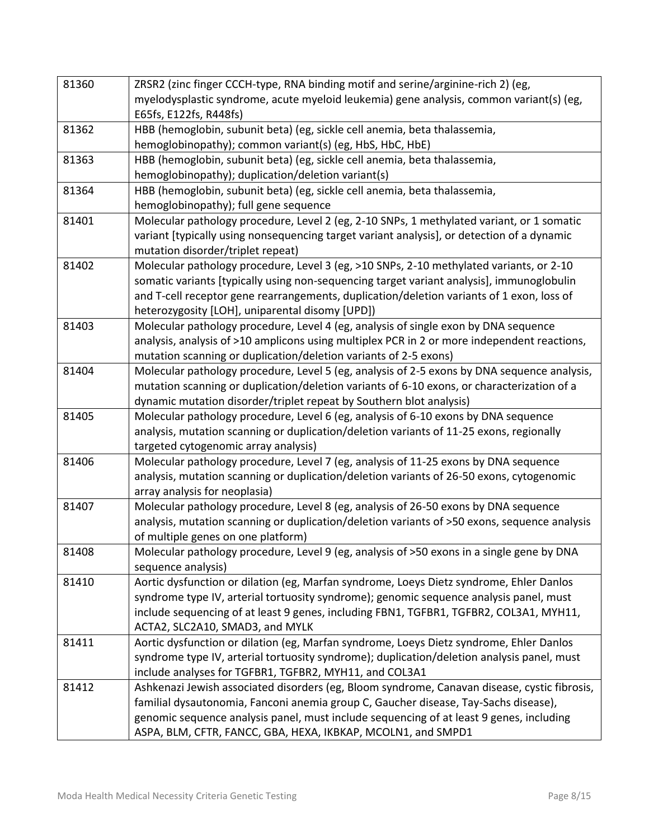| 81360 | ZRSR2 (zinc finger CCCH-type, RNA binding motif and serine/arginine-rich 2) (eg,             |  |  |  |
|-------|----------------------------------------------------------------------------------------------|--|--|--|
|       | myelodysplastic syndrome, acute myeloid leukemia) gene analysis, common variant(s) (eg,      |  |  |  |
|       | E65fs, E122fs, R448fs)                                                                       |  |  |  |
| 81362 | HBB (hemoglobin, subunit beta) (eg, sickle cell anemia, beta thalassemia,                    |  |  |  |
|       | hemoglobinopathy); common variant(s) (eg, HbS, HbC, HbE)                                     |  |  |  |
| 81363 | HBB (hemoglobin, subunit beta) (eg, sickle cell anemia, beta thalassemia,                    |  |  |  |
|       | hemoglobinopathy); duplication/deletion variant(s)                                           |  |  |  |
| 81364 | HBB (hemoglobin, subunit beta) (eg, sickle cell anemia, beta thalassemia,                    |  |  |  |
|       | hemoglobinopathy); full gene sequence                                                        |  |  |  |
| 81401 | Molecular pathology procedure, Level 2 (eg, 2-10 SNPs, 1 methylated variant, or 1 somatic    |  |  |  |
|       | variant [typically using nonsequencing target variant analysis], or detection of a dynamic   |  |  |  |
|       | mutation disorder/triplet repeat)                                                            |  |  |  |
| 81402 | Molecular pathology procedure, Level 3 (eg, >10 SNPs, 2-10 methylated variants, or 2-10      |  |  |  |
|       | somatic variants [typically using non-sequencing target variant analysis], immunoglobulin    |  |  |  |
|       | and T-cell receptor gene rearrangements, duplication/deletion variants of 1 exon, loss of    |  |  |  |
|       | heterozygosity [LOH], uniparental disomy [UPD])                                              |  |  |  |
| 81403 | Molecular pathology procedure, Level 4 (eg, analysis of single exon by DNA sequence          |  |  |  |
|       | analysis, analysis of >10 amplicons using multiplex PCR in 2 or more independent reactions,  |  |  |  |
|       | mutation scanning or duplication/deletion variants of 2-5 exons)                             |  |  |  |
| 81404 | Molecular pathology procedure, Level 5 (eg, analysis of 2-5 exons by DNA sequence analysis,  |  |  |  |
|       | mutation scanning or duplication/deletion variants of 6-10 exons, or characterization of a   |  |  |  |
|       | dynamic mutation disorder/triplet repeat by Southern blot analysis)                          |  |  |  |
| 81405 | Molecular pathology procedure, Level 6 (eg, analysis of 6-10 exons by DNA sequence           |  |  |  |
|       | analysis, mutation scanning or duplication/deletion variants of 11-25 exons, regionally      |  |  |  |
|       | targeted cytogenomic array analysis)                                                         |  |  |  |
| 81406 | Molecular pathology procedure, Level 7 (eg, analysis of 11-25 exons by DNA sequence          |  |  |  |
|       | analysis, mutation scanning or duplication/deletion variants of 26-50 exons, cytogenomic     |  |  |  |
|       | array analysis for neoplasia)                                                                |  |  |  |
| 81407 | Molecular pathology procedure, Level 8 (eg, analysis of 26-50 exons by DNA sequence          |  |  |  |
|       | analysis, mutation scanning or duplication/deletion variants of >50 exons, sequence analysis |  |  |  |
|       | of multiple genes on one platform)                                                           |  |  |  |
| 81408 | Molecular pathology procedure, Level 9 (eg, analysis of >50 exons in a single gene by DNA    |  |  |  |
|       | sequence analysis)                                                                           |  |  |  |
| 81410 | Aortic dysfunction or dilation (eg, Marfan syndrome, Loeys Dietz syndrome, Ehler Danlos      |  |  |  |
|       | syndrome type IV, arterial tortuosity syndrome); genomic sequence analysis panel, must       |  |  |  |
|       | include sequencing of at least 9 genes, including FBN1, TGFBR1, TGFBR2, COL3A1, MYH11,       |  |  |  |
|       | ACTA2, SLC2A10, SMAD3, and MYLK                                                              |  |  |  |
| 81411 | Aortic dysfunction or dilation (eg, Marfan syndrome, Loeys Dietz syndrome, Ehler Danlos      |  |  |  |
|       | syndrome type IV, arterial tortuosity syndrome); duplication/deletion analysis panel, must   |  |  |  |
|       | include analyses for TGFBR1, TGFBR2, MYH11, and COL3A1                                       |  |  |  |
| 81412 | Ashkenazi Jewish associated disorders (eg, Bloom syndrome, Canavan disease, cystic fibrosis, |  |  |  |
|       | familial dysautonomia, Fanconi anemia group C, Gaucher disease, Tay-Sachs disease),          |  |  |  |
|       | genomic sequence analysis panel, must include sequencing of at least 9 genes, including      |  |  |  |
|       | ASPA, BLM, CFTR, FANCC, GBA, HEXA, IKBKAP, MCOLN1, and SMPD1                                 |  |  |  |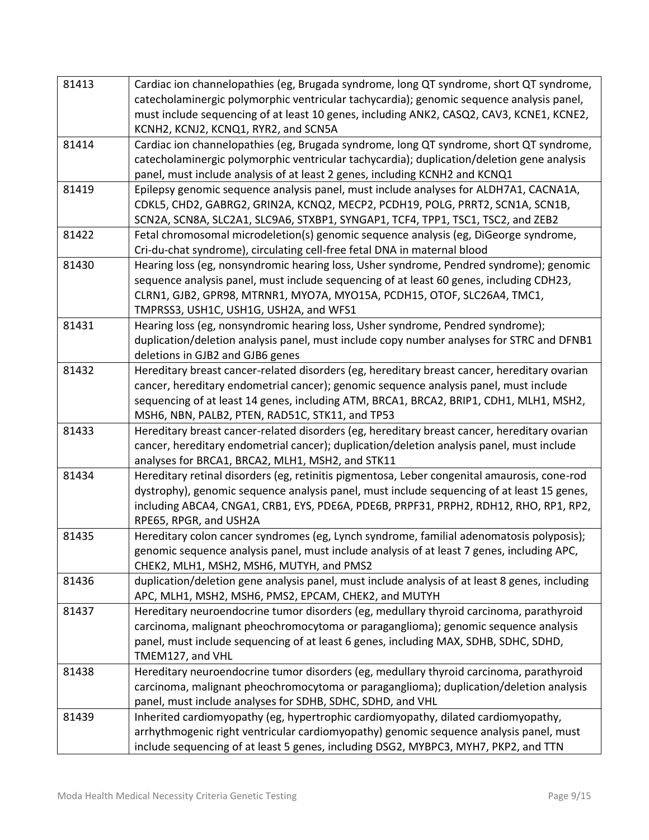| 81413 | Cardiac ion channelopathies (eg, Brugada syndrome, long QT syndrome, short QT syndrome,                                                    |  |  |  |
|-------|--------------------------------------------------------------------------------------------------------------------------------------------|--|--|--|
|       | catecholaminergic polymorphic ventricular tachycardia); genomic sequence analysis panel,                                                   |  |  |  |
|       | must include sequencing of at least 10 genes, including ANK2, CASQ2, CAV3, KCNE1, KCNE2,                                                   |  |  |  |
|       | KCNH2, KCNJ2, KCNQ1, RYR2, and SCN5A                                                                                                       |  |  |  |
| 81414 | Cardiac ion channelopathies (eg, Brugada syndrome, long QT syndrome, short QT syndrome,                                                    |  |  |  |
|       | catecholaminergic polymorphic ventricular tachycardia); duplication/deletion gene analysis                                                 |  |  |  |
|       | panel, must include analysis of at least 2 genes, including KCNH2 and KCNQ1                                                                |  |  |  |
| 81419 | Epilepsy genomic sequence analysis panel, must include analyses for ALDH7A1, CACNA1A,                                                      |  |  |  |
|       | CDKL5, CHD2, GABRG2, GRIN2A, KCNQ2, MECP2, PCDH19, POLG, PRRT2, SCN1A, SCN1B,                                                              |  |  |  |
|       | SCN2A, SCN8A, SLC2A1, SLC9A6, STXBP1, SYNGAP1, TCF4, TPP1, TSC1, TSC2, and ZEB2                                                            |  |  |  |
| 81422 | Fetal chromosomal microdeletion(s) genomic sequence analysis (eg, DiGeorge syndrome,                                                       |  |  |  |
|       | Cri-du-chat syndrome), circulating cell-free fetal DNA in maternal blood                                                                   |  |  |  |
| 81430 | Hearing loss (eg, nonsyndromic hearing loss, Usher syndrome, Pendred syndrome); genomic                                                    |  |  |  |
|       | sequence analysis panel, must include sequencing of at least 60 genes, including CDH23,                                                    |  |  |  |
|       | CLRN1, GJB2, GPR98, MTRNR1, MYO7A, MYO15A, PCDH15, OTOF, SLC26A4, TMC1,                                                                    |  |  |  |
|       | TMPRSS3, USH1C, USH1G, USH2A, and WFS1                                                                                                     |  |  |  |
| 81431 | Hearing loss (eg, nonsyndromic hearing loss, Usher syndrome, Pendred syndrome);                                                            |  |  |  |
|       | duplication/deletion analysis panel, must include copy number analyses for STRC and DFNB1                                                  |  |  |  |
|       | deletions in GJB2 and GJB6 genes                                                                                                           |  |  |  |
| 81432 | Hereditary breast cancer-related disorders (eg, hereditary breast cancer, hereditary ovarian                                               |  |  |  |
|       | cancer, hereditary endometrial cancer); genomic sequence analysis panel, must include                                                      |  |  |  |
|       | sequencing of at least 14 genes, including ATM, BRCA1, BRCA2, BRIP1, CDH1, MLH1, MSH2,                                                     |  |  |  |
|       | MSH6, NBN, PALB2, PTEN, RAD51C, STK11, and TP53                                                                                            |  |  |  |
| 81433 | Hereditary breast cancer-related disorders (eg, hereditary breast cancer, hereditary ovarian                                               |  |  |  |
|       | cancer, hereditary endometrial cancer); duplication/deletion analysis panel, must include                                                  |  |  |  |
|       | analyses for BRCA1, BRCA2, MLH1, MSH2, and STK11                                                                                           |  |  |  |
| 81434 | Hereditary retinal disorders (eg, retinitis pigmentosa, Leber congenital amaurosis, cone-rod                                               |  |  |  |
|       | dystrophy), genomic sequence analysis panel, must include sequencing of at least 15 genes,                                                 |  |  |  |
|       | including ABCA4, CNGA1, CRB1, EYS, PDE6A, PDE6B, PRPF31, PRPH2, RDH12, RHO, RP1, RP2,                                                      |  |  |  |
|       | RPE65, RPGR, and USH2A                                                                                                                     |  |  |  |
| 81435 | Hereditary colon cancer syndromes (eg, Lynch syndrome, familial adenomatosis polyposis);                                                   |  |  |  |
|       | genomic sequence analysis panel, must include analysis of at least 7 genes, including APC,                                                 |  |  |  |
| 81436 | CHEK2, MLH1, MSH2, MSH6, MUTYH, and PMS2<br>duplication/deletion gene analysis panel, must include analysis of at least 8 genes, including |  |  |  |
|       | APC, MLH1, MSH2, MSH6, PMS2, EPCAM, CHEK2, and MUTYH                                                                                       |  |  |  |
| 81437 | Hereditary neuroendocrine tumor disorders (eg, medullary thyroid carcinoma, parathyroid                                                    |  |  |  |
|       | carcinoma, malignant pheochromocytoma or paraganglioma); genomic sequence analysis                                                         |  |  |  |
|       | panel, must include sequencing of at least 6 genes, including MAX, SDHB, SDHC, SDHD,                                                       |  |  |  |
|       | TMEM127, and VHL                                                                                                                           |  |  |  |
| 81438 | Hereditary neuroendocrine tumor disorders (eg, medullary thyroid carcinoma, parathyroid                                                    |  |  |  |
|       | carcinoma, malignant pheochromocytoma or paraganglioma); duplication/deletion analysis                                                     |  |  |  |
|       | panel, must include analyses for SDHB, SDHC, SDHD, and VHL                                                                                 |  |  |  |
| 81439 | Inherited cardiomyopathy (eg, hypertrophic cardiomyopathy, dilated cardiomyopathy,                                                         |  |  |  |
|       | arrhythmogenic right ventricular cardiomyopathy) genomic sequence analysis panel, must                                                     |  |  |  |
|       | include sequencing of at least 5 genes, including DSG2, MYBPC3, MYH7, PKP2, and TTN                                                        |  |  |  |
|       |                                                                                                                                            |  |  |  |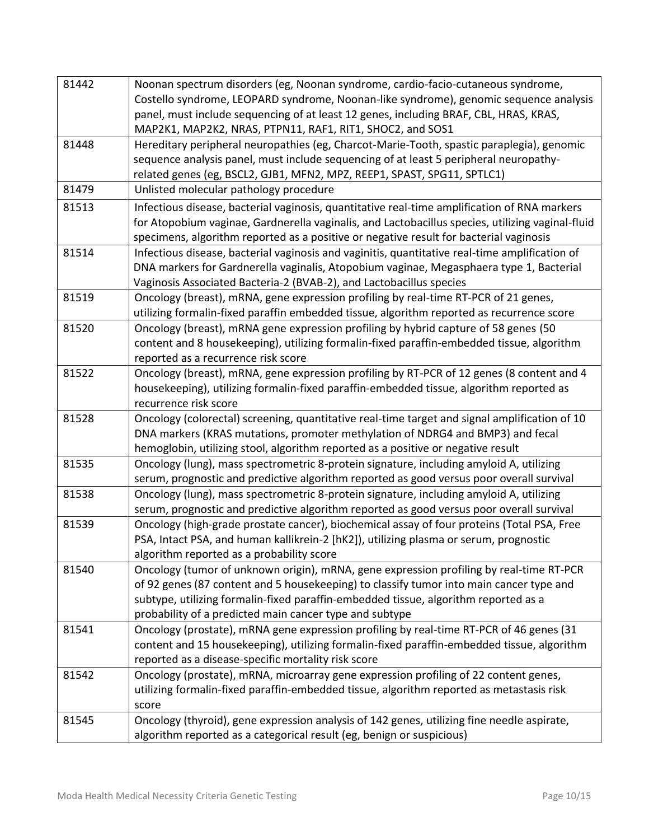| 81442 | Noonan spectrum disorders (eg, Noonan syndrome, cardio-facio-cutaneous syndrome,                 |  |  |  |
|-------|--------------------------------------------------------------------------------------------------|--|--|--|
|       | Costello syndrome, LEOPARD syndrome, Noonan-like syndrome), genomic sequence analysis            |  |  |  |
|       | panel, must include sequencing of at least 12 genes, including BRAF, CBL, HRAS, KRAS,            |  |  |  |
|       | MAP2K1, MAP2K2, NRAS, PTPN11, RAF1, RIT1, SHOC2, and SOS1                                        |  |  |  |
| 81448 | Hereditary peripheral neuropathies (eg, Charcot-Marie-Tooth, spastic paraplegia), genomic        |  |  |  |
|       | sequence analysis panel, must include sequencing of at least 5 peripheral neuropathy-            |  |  |  |
|       | related genes (eg, BSCL2, GJB1, MFN2, MPZ, REEP1, SPAST, SPG11, SPTLC1)                          |  |  |  |
| 81479 | Unlisted molecular pathology procedure                                                           |  |  |  |
| 81513 | Infectious disease, bacterial vaginosis, quantitative real-time amplification of RNA markers     |  |  |  |
|       | for Atopobium vaginae, Gardnerella vaginalis, and Lactobacillus species, utilizing vaginal-fluid |  |  |  |
|       | specimens, algorithm reported as a positive or negative result for bacterial vaginosis           |  |  |  |
| 81514 | Infectious disease, bacterial vaginosis and vaginitis, quantitative real-time amplification of   |  |  |  |
|       | DNA markers for Gardnerella vaginalis, Atopobium vaginae, Megasphaera type 1, Bacterial          |  |  |  |
|       | Vaginosis Associated Bacteria-2 (BVAB-2), and Lactobacillus species                              |  |  |  |
| 81519 | Oncology (breast), mRNA, gene expression profiling by real-time RT-PCR of 21 genes,              |  |  |  |
|       | utilizing formalin-fixed paraffin embedded tissue, algorithm reported as recurrence score        |  |  |  |
| 81520 | Oncology (breast), mRNA gene expression profiling by hybrid capture of 58 genes (50              |  |  |  |
|       | content and 8 housekeeping), utilizing formalin-fixed paraffin-embedded tissue, algorithm        |  |  |  |
|       | reported as a recurrence risk score                                                              |  |  |  |
| 81522 | Oncology (breast), mRNA, gene expression profiling by RT-PCR of 12 genes (8 content and 4        |  |  |  |
|       | housekeeping), utilizing formalin-fixed paraffin-embedded tissue, algorithm reported as          |  |  |  |
|       | recurrence risk score                                                                            |  |  |  |
| 81528 | Oncology (colorectal) screening, quantitative real-time target and signal amplification of 10    |  |  |  |
|       | DNA markers (KRAS mutations, promoter methylation of NDRG4 and BMP3) and fecal                   |  |  |  |
|       | hemoglobin, utilizing stool, algorithm reported as a positive or negative result                 |  |  |  |
| 81535 | Oncology (lung), mass spectrometric 8-protein signature, including amyloid A, utilizing          |  |  |  |
|       | serum, prognostic and predictive algorithm reported as good versus poor overall survival         |  |  |  |
| 81538 | Oncology (lung), mass spectrometric 8-protein signature, including amyloid A, utilizing          |  |  |  |
|       | serum, prognostic and predictive algorithm reported as good versus poor overall survival         |  |  |  |
| 81539 | Oncology (high-grade prostate cancer), biochemical assay of four proteins (Total PSA, Free       |  |  |  |
|       | PSA, Intact PSA, and human kallikrein-2 [hK2]), utilizing plasma or serum, prognostic            |  |  |  |
|       | algorithm reported as a probability score                                                        |  |  |  |
| 81540 | Oncology (tumor of unknown origin), mRNA, gene expression profiling by real-time RT-PCR          |  |  |  |
|       | of 92 genes (87 content and 5 housekeeping) to classify tumor into main cancer type and          |  |  |  |
|       | subtype, utilizing formalin-fixed paraffin-embedded tissue, algorithm reported as a              |  |  |  |
|       | probability of a predicted main cancer type and subtype                                          |  |  |  |
| 81541 | Oncology (prostate), mRNA gene expression profiling by real-time RT-PCR of 46 genes (31          |  |  |  |
|       | content and 15 housekeeping), utilizing formalin-fixed paraffin-embedded tissue, algorithm       |  |  |  |
|       | reported as a disease-specific mortality risk score                                              |  |  |  |
| 81542 | Oncology (prostate), mRNA, microarray gene expression profiling of 22 content genes,             |  |  |  |
|       | utilizing formalin-fixed paraffin-embedded tissue, algorithm reported as metastasis risk         |  |  |  |
|       | score                                                                                            |  |  |  |
| 81545 | Oncology (thyroid), gene expression analysis of 142 genes, utilizing fine needle aspirate,       |  |  |  |
|       | algorithm reported as a categorical result (eg, benign or suspicious)                            |  |  |  |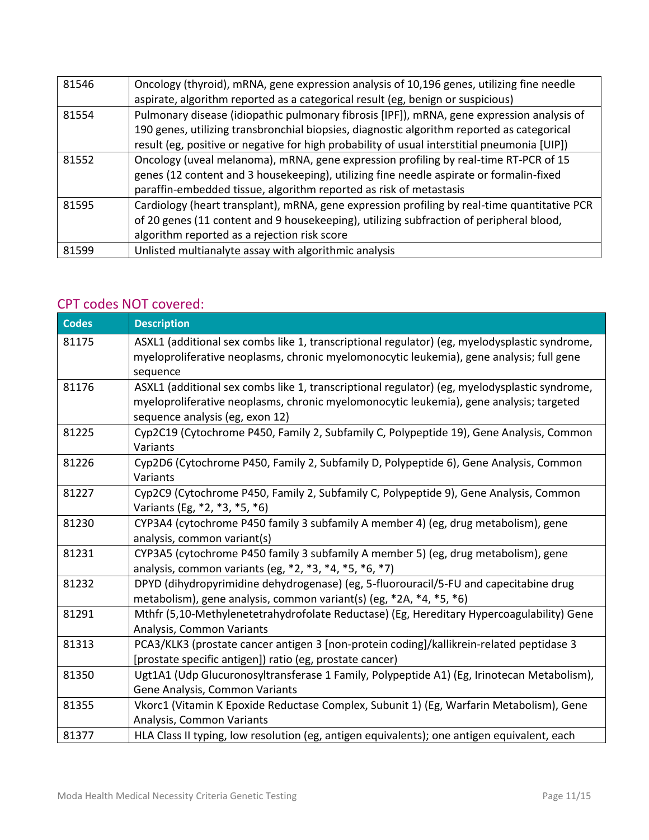| 81546 | Oncology (thyroid), mRNA, gene expression analysis of 10,196 genes, utilizing fine needle    |  |  |  |
|-------|----------------------------------------------------------------------------------------------|--|--|--|
|       | aspirate, algorithm reported as a categorical result (eg, benign or suspicious)              |  |  |  |
| 81554 | Pulmonary disease (idiopathic pulmonary fibrosis [IPF]), mRNA, gene expression analysis of   |  |  |  |
|       | 190 genes, utilizing transbronchial biopsies, diagnostic algorithm reported as categorical   |  |  |  |
|       | result (eg, positive or negative for high probability of usual interstitial pneumonia [UIP]) |  |  |  |
| 81552 | Oncology (uveal melanoma), mRNA, gene expression profiling by real-time RT-PCR of 15         |  |  |  |
|       | genes (12 content and 3 housekeeping), utilizing fine needle aspirate or formalin-fixed      |  |  |  |
|       | paraffin-embedded tissue, algorithm reported as risk of metastasis                           |  |  |  |
| 81595 | Cardiology (heart transplant), mRNA, gene expression profiling by real-time quantitative PCR |  |  |  |
|       | of 20 genes (11 content and 9 housekeeping), utilizing subfraction of peripheral blood,      |  |  |  |
|       | algorithm reported as a rejection risk score                                                 |  |  |  |
| 81599 | Unlisted multianalyte assay with algorithmic analysis                                        |  |  |  |

## CPT codes NOT covered:

| <b>Codes</b> | <b>Description</b>                                                                                                                                                                                                          |
|--------------|-----------------------------------------------------------------------------------------------------------------------------------------------------------------------------------------------------------------------------|
| 81175        | ASXL1 (additional sex combs like 1, transcriptional regulator) (eg, myelodysplastic syndrome,<br>myeloproliferative neoplasms, chronic myelomonocytic leukemia), gene analysis; full gene<br>sequence                       |
| 81176        | ASXL1 (additional sex combs like 1, transcriptional regulator) (eg, myelodysplastic syndrome,<br>myeloproliferative neoplasms, chronic myelomonocytic leukemia), gene analysis; targeted<br>sequence analysis (eg, exon 12) |
| 81225        | Cyp2C19 (Cytochrome P450, Family 2, Subfamily C, Polypeptide 19), Gene Analysis, Common<br>Variants                                                                                                                         |
| 81226        | Cyp2D6 (Cytochrome P450, Family 2, Subfamily D, Polypeptide 6), Gene Analysis, Common<br>Variants                                                                                                                           |
| 81227        | Cyp2C9 (Cytochrome P450, Family 2, Subfamily C, Polypeptide 9), Gene Analysis, Common<br>Variants (Eg, *2, *3, *5, *6)                                                                                                      |
| 81230        | CYP3A4 (cytochrome P450 family 3 subfamily A member 4) (eg, drug metabolism), gene<br>analysis, common variant(s)                                                                                                           |
| 81231        | CYP3A5 (cytochrome P450 family 3 subfamily A member 5) (eg, drug metabolism), gene<br>analysis, common variants (eg, *2, *3, *4, *5, *6, *7)                                                                                |
| 81232        | DPYD (dihydropyrimidine dehydrogenase) (eg, 5-fluorouracil/5-FU and capecitabine drug<br>metabolism), gene analysis, common variant(s) (eg, *2A, *4, *5, *6)                                                                |
| 81291        | Mthfr (5,10-Methylenetetrahydrofolate Reductase) (Eg, Hereditary Hypercoagulability) Gene<br>Analysis, Common Variants                                                                                                      |
| 81313        | PCA3/KLK3 (prostate cancer antigen 3 [non-protein coding]/kallikrein-related peptidase 3<br>[prostate specific antigen]) ratio (eg, prostate cancer)                                                                        |
| 81350        | Ugt1A1 (Udp Glucuronosyltransferase 1 Family, Polypeptide A1) (Eg, Irinotecan Metabolism),<br>Gene Analysis, Common Variants                                                                                                |
| 81355        | Vkorc1 (Vitamin K Epoxide Reductase Complex, Subunit 1) (Eg, Warfarin Metabolism), Gene<br>Analysis, Common Variants                                                                                                        |
| 81377        | HLA Class II typing, low resolution (eg, antigen equivalents); one antigen equivalent, each                                                                                                                                 |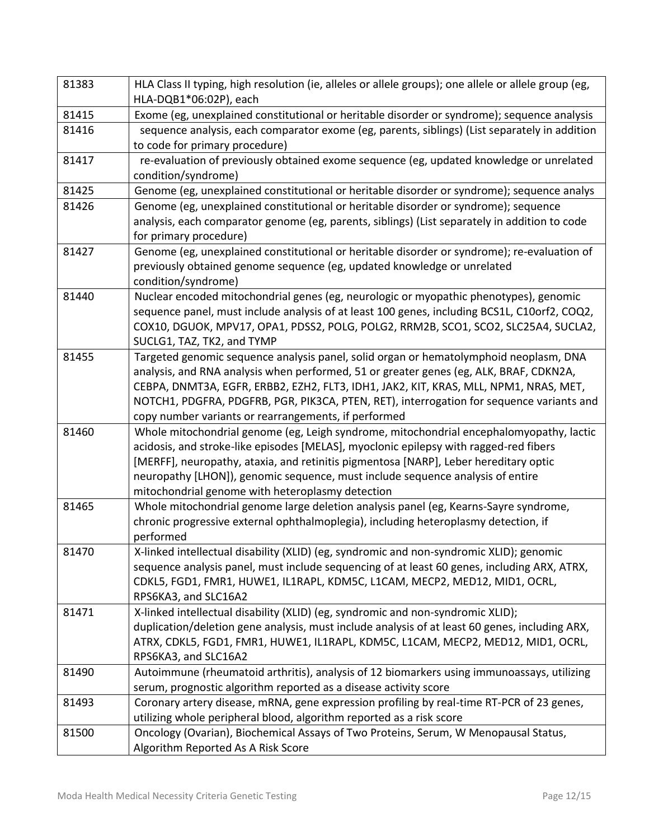| 81383 | HLA Class II typing, high resolution (ie, alleles or allele groups); one allele or allele group (eg,<br>HLA-DQB1*06:02P), each                   |  |  |  |
|-------|--------------------------------------------------------------------------------------------------------------------------------------------------|--|--|--|
| 81415 | Exome (eg, unexplained constitutional or heritable disorder or syndrome); sequence analysis                                                      |  |  |  |
| 81416 | sequence analysis, each comparator exome (eg, parents, siblings) (List separately in addition                                                    |  |  |  |
|       | to code for primary procedure)                                                                                                                   |  |  |  |
| 81417 | re-evaluation of previously obtained exome sequence (eg, updated knowledge or unrelated                                                          |  |  |  |
|       | condition/syndrome)                                                                                                                              |  |  |  |
| 81425 | Genome (eg, unexplained constitutional or heritable disorder or syndrome); sequence analys                                                       |  |  |  |
| 81426 | Genome (eg, unexplained constitutional or heritable disorder or syndrome); sequence                                                              |  |  |  |
|       | analysis, each comparator genome (eg, parents, siblings) (List separately in addition to code                                                    |  |  |  |
|       | for primary procedure)                                                                                                                           |  |  |  |
| 81427 | Genome (eg, unexplained constitutional or heritable disorder or syndrome); re-evaluation of                                                      |  |  |  |
|       | previously obtained genome sequence (eg, updated knowledge or unrelated                                                                          |  |  |  |
|       | condition/syndrome)                                                                                                                              |  |  |  |
| 81440 | Nuclear encoded mitochondrial genes (eg, neurologic or myopathic phenotypes), genomic                                                            |  |  |  |
|       | sequence panel, must include analysis of at least 100 genes, including BCS1L, C10orf2, COQ2,                                                     |  |  |  |
|       | COX10, DGUOK, MPV17, OPA1, PDSS2, POLG, POLG2, RRM2B, SCO1, SCO2, SLC25A4, SUCLA2,                                                               |  |  |  |
|       | SUCLG1, TAZ, TK2, and TYMP                                                                                                                       |  |  |  |
| 81455 | Targeted genomic sequence analysis panel, solid organ or hematolymphoid neoplasm, DNA                                                            |  |  |  |
|       | analysis, and RNA analysis when performed, 51 or greater genes (eg, ALK, BRAF, CDKN2A,                                                           |  |  |  |
|       | CEBPA, DNMT3A, EGFR, ERBB2, EZH2, FLT3, IDH1, JAK2, KIT, KRAS, MLL, NPM1, NRAS, MET,                                                             |  |  |  |
|       | NOTCH1, PDGFRA, PDGFRB, PGR, PIK3CA, PTEN, RET), interrogation for sequence variants and<br>copy number variants or rearrangements, if performed |  |  |  |
| 81460 | Whole mitochondrial genome (eg, Leigh syndrome, mitochondrial encephalomyopathy, lactic                                                          |  |  |  |
|       | acidosis, and stroke-like episodes [MELAS], myoclonic epilepsy with ragged-red fibers                                                            |  |  |  |
|       | [MERFF], neuropathy, ataxia, and retinitis pigmentosa [NARP], Leber hereditary optic                                                             |  |  |  |
|       | neuropathy [LHON]), genomic sequence, must include sequence analysis of entire                                                                   |  |  |  |
|       | mitochondrial genome with heteroplasmy detection                                                                                                 |  |  |  |
| 81465 | Whole mitochondrial genome large deletion analysis panel (eg, Kearns-Sayre syndrome,                                                             |  |  |  |
|       | chronic progressive external ophthalmoplegia), including heteroplasmy detection, if                                                              |  |  |  |
|       | performed                                                                                                                                        |  |  |  |
| 81470 | X-linked intellectual disability (XLID) (eg, syndromic and non-syndromic XLID); genomic                                                          |  |  |  |
|       | sequence analysis panel, must include sequencing of at least 60 genes, including ARX, ATRX,                                                      |  |  |  |
|       | CDKL5, FGD1, FMR1, HUWE1, IL1RAPL, KDM5C, L1CAM, MECP2, MED12, MID1, OCRL,                                                                       |  |  |  |
|       | RPS6KA3, and SLC16A2                                                                                                                             |  |  |  |
| 81471 | X-linked intellectual disability (XLID) (eg, syndromic and non-syndromic XLID);                                                                  |  |  |  |
|       | duplication/deletion gene analysis, must include analysis of at least 60 genes, including ARX,                                                   |  |  |  |
|       | ATRX, CDKL5, FGD1, FMR1, HUWE1, IL1RAPL, KDM5C, L1CAM, MECP2, MED12, MID1, OCRL,                                                                 |  |  |  |
|       | RPS6KA3, and SLC16A2                                                                                                                             |  |  |  |
| 81490 | Autoimmune (rheumatoid arthritis), analysis of 12 biomarkers using immunoassays, utilizing                                                       |  |  |  |
|       | serum, prognostic algorithm reported as a disease activity score                                                                                 |  |  |  |
| 81493 | Coronary artery disease, mRNA, gene expression profiling by real-time RT-PCR of 23 genes,                                                        |  |  |  |
|       | utilizing whole peripheral blood, algorithm reported as a risk score                                                                             |  |  |  |
| 81500 | Oncology (Ovarian), Biochemical Assays of Two Proteins, Serum, W Menopausal Status,                                                              |  |  |  |
|       | Algorithm Reported As A Risk Score                                                                                                               |  |  |  |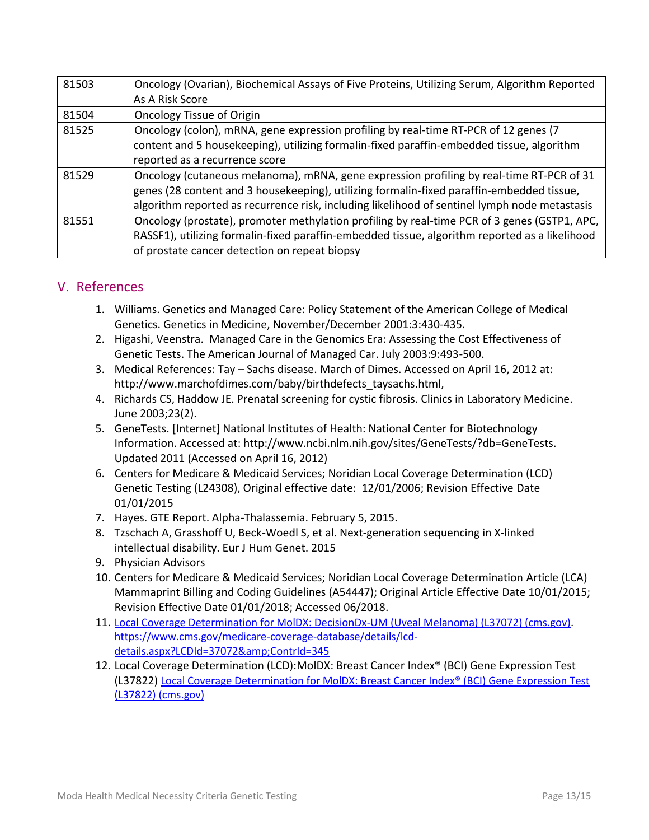| 81503 | Oncology (Ovarian), Biochemical Assays of Five Proteins, Utilizing Serum, Algorithm Reported   |  |  |  |
|-------|------------------------------------------------------------------------------------------------|--|--|--|
|       | As A Risk Score                                                                                |  |  |  |
| 81504 | <b>Oncology Tissue of Origin</b>                                                               |  |  |  |
| 81525 | Oncology (colon), mRNA, gene expression profiling by real-time RT-PCR of 12 genes (7           |  |  |  |
|       | content and 5 housekeeping), utilizing formalin-fixed paraffin-embedded tissue, algorithm      |  |  |  |
|       | reported as a recurrence score                                                                 |  |  |  |
| 81529 | Oncology (cutaneous melanoma), mRNA, gene expression profiling by real-time RT-PCR of 31       |  |  |  |
|       | genes (28 content and 3 housekeeping), utilizing formalin-fixed paraffin-embedded tissue,      |  |  |  |
|       | algorithm reported as recurrence risk, including likelihood of sentinel lymph node metastasis  |  |  |  |
| 81551 | Oncology (prostate), promoter methylation profiling by real-time PCR of 3 genes (GSTP1, APC,   |  |  |  |
|       | RASSF1), utilizing formalin-fixed paraffin-embedded tissue, algorithm reported as a likelihood |  |  |  |
|       | of prostate cancer detection on repeat biopsy                                                  |  |  |  |

### V. References

- 1. Williams. Genetics and Managed Care: Policy Statement of the American College of Medical Genetics. Genetics in Medicine, November/December 2001:3:430-435.
- 2. Higashi, Veenstra. Managed Care in the Genomics Era: Assessing the Cost Effectiveness of Genetic Tests. The American Journal of Managed Car. July 2003:9:493-500.
- 3. Medical References: Tay Sachs disease. March of Dimes. Accessed on April 16, 2012 at: http://www.marchofdimes.com/baby/birthdefects\_taysachs.html,
- 4. Richards CS, Haddow JE. Prenatal screening for cystic fibrosis. Clinics in Laboratory Medicine. June 2003;23(2).
- 5. GeneTests. [Internet] National Institutes of Health: National Center for Biotechnology Information. Accessed at: http://www.ncbi.nlm.nih.gov/sites/GeneTests/?db=GeneTests. Updated 2011 (Accessed on April 16, 2012)
- 6. Centers for Medicare & Medicaid Services; Noridian Local Coverage Determination (LCD) Genetic Testing (L24308), Original effective date: 12/01/2006; Revision Effective Date 01/01/2015
- 7. Hayes. GTE Report. Alpha-Thalassemia. February 5, 2015.
- 8. Tzschach A, Grasshoff U, Beck-Woedl S, et al. Next-generation sequencing in X-linked intellectual disability. Eur J Hum Genet. 2015
- 9. Physician Advisors
- 10. Centers for Medicare & Medicaid Services; Noridian Local Coverage Determination Article (LCA) Mammaprint Billing and Coding Guidelines (A54447); Original Article Effective Date 10/01/2015; Revision Effective Date 01/01/2018; Accessed 06/2018.
- 11. [Local Coverage Determination for MolDX: DecisionDx-UM \(Uveal Melanoma\) \(L37072\) \(cms.gov\).](https://www.cms.gov/medicare-coverage-database/details/lcd-details.aspx?LCDId=37072&ContrId=345) [https://www.cms.gov/medicare-coverage-database/details/lcd](https://www.cms.gov/medicare-coverage-database/details/lcd-details.aspx?LCDId=37072&ContrId=345)[details.aspx?LCDId=37072&ContrId=345](https://www.cms.gov/medicare-coverage-database/details/lcd-details.aspx?LCDId=37072&ContrId=345)
- 12. Local Coverage Determination (LCD):MolDX: Breast Cancer Index® (BCI) Gene Expression Test (L37822) [Local Coverage Determination for MolDX: Breast Cancer Index® \(BCI\) Gene Expression Test](https://www.cms.gov/medicare-coverage-database/details/lcd-details.aspx?lcdid=37822&ver=14&bc=CAAAAAAAAAAA)  [\(L37822\) \(cms.gov\)](https://www.cms.gov/medicare-coverage-database/details/lcd-details.aspx?lcdid=37822&ver=14&bc=CAAAAAAAAAAA)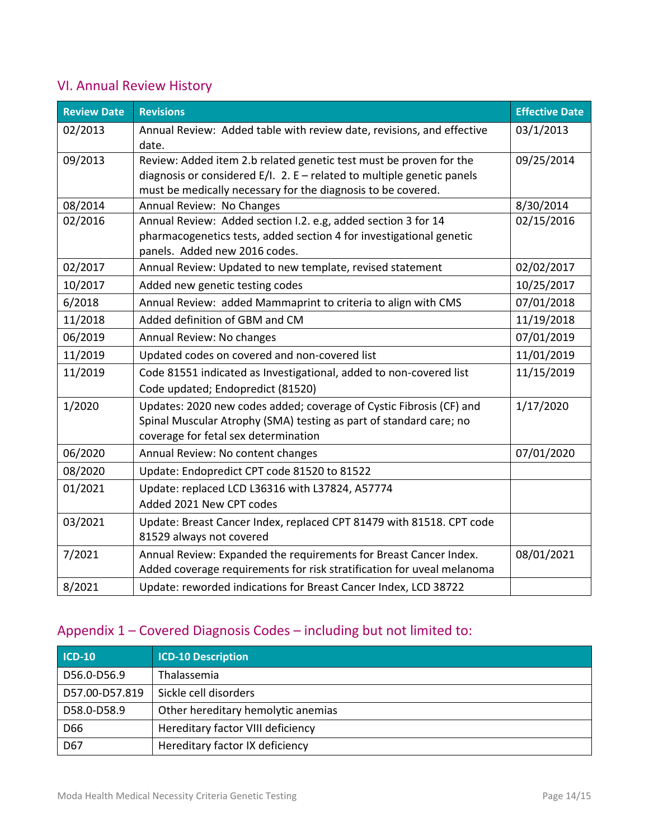# VI. Annual Review History

| <b>Review Date</b> | <b>Revisions</b>                                                                                     | <b>Effective Date</b> |
|--------------------|------------------------------------------------------------------------------------------------------|-----------------------|
| 02/2013            | Annual Review: Added table with review date, revisions, and effective                                | 03/1/2013             |
|                    | date.                                                                                                |                       |
| 09/2013            | Review: Added item 2.b related genetic test must be proven for the                                   | 09/25/2014            |
|                    | diagnosis or considered $E/I$ . 2. E – related to multiple genetic panels                            |                       |
|                    | must be medically necessary for the diagnosis to be covered.                                         |                       |
| 08/2014            | Annual Review: No Changes                                                                            | 8/30/2014             |
| 02/2016            | Annual Review: Added section I.2. e.g, added section 3 for 14                                        | 02/15/2016            |
|                    | pharmacogenetics tests, added section 4 for investigational genetic<br>panels. Added new 2016 codes. |                       |
| 02/2017            | Annual Review: Updated to new template, revised statement                                            | 02/02/2017            |
| 10/2017            | Added new genetic testing codes                                                                      | 10/25/2017            |
| 6/2018             | Annual Review: added Mammaprint to criteria to align with CMS                                        | 07/01/2018            |
| 11/2018            | Added definition of GBM and CM                                                                       | 11/19/2018            |
| 06/2019            | Annual Review: No changes                                                                            | 07/01/2019            |
| 11/2019            | Updated codes on covered and non-covered list                                                        | 11/01/2019            |
| 11/2019            | Code 81551 indicated as Investigational, added to non-covered list                                   | 11/15/2019            |
|                    | Code updated; Endopredict (81520)                                                                    |                       |
| 1/2020             | Updates: 2020 new codes added; coverage of Cystic Fibrosis (CF) and                                  | 1/17/2020             |
|                    | Spinal Muscular Atrophy (SMA) testing as part of standard care; no                                   |                       |
|                    | coverage for fetal sex determination                                                                 |                       |
| 06/2020            | Annual Review: No content changes                                                                    | 07/01/2020            |
| 08/2020            | Update: Endopredict CPT code 81520 to 81522                                                          |                       |
| 01/2021            | Update: replaced LCD L36316 with L37824, A57774                                                      |                       |
|                    | Added 2021 New CPT codes                                                                             |                       |
| 03/2021            | Update: Breast Cancer Index, replaced CPT 81479 with 81518. CPT code                                 |                       |
|                    | 81529 always not covered                                                                             |                       |
| 7/2021             | Annual Review: Expanded the requirements for Breast Cancer Index.                                    | 08/01/2021            |
|                    | Added coverage requirements for risk stratification for uveal melanoma                               |                       |
| 8/2021             | Update: reworded indications for Breast Cancer Index, LCD 38722                                      |                       |

# Appendix 1 – Covered Diagnosis Codes – including but not limited to:

| $ICD-10$       | <b>ICD-10 Description</b>          |
|----------------|------------------------------------|
| D56.0-D56.9    | Thalassemia                        |
| D57.00-D57.819 | Sickle cell disorders              |
| D58.0-D58.9    | Other hereditary hemolytic anemias |
| D66            | Hereditary factor VIII deficiency  |
| D67            | Hereditary factor IX deficiency    |